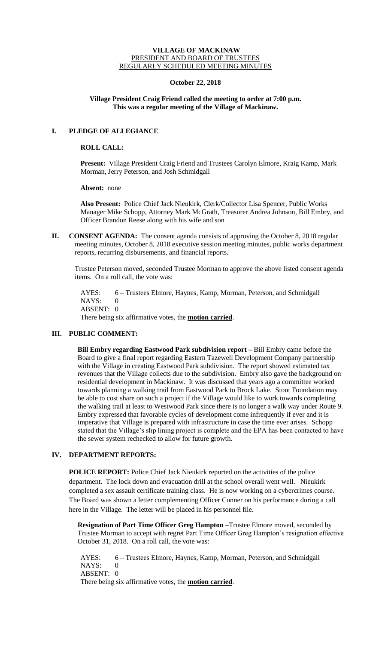### **VILLAGE OF MACKINAW** PRESIDENT AND BOARD OF TRUSTEES REGULARLY SCHEDULED MEETING MINUTES

## **October 22, 2018**

## **Village President Craig Friend called the meeting to order at 7:00 p.m. This was a regular meeting of the Village of Mackinaw.**

# **I. PLEDGE OF ALLEGIANCE**

# **ROLL CALL:**

**Present:** Village President Craig Friend and Trustees Carolyn Elmore, Kraig Kamp, Mark Morman, Jerry Peterson, and Josh Schmidgall

**Absent:** none

**Also Present:** Police Chief Jack Nieukirk, Clerk/Collector Lisa Spencer, Public Works Manager Mike Schopp, Attorney Mark McGrath, Treasurer Andrea Johnson, Bill Embry, and Officer Brandon Reese along with his wife and son

**II. CONSENT AGENDA:** The consent agenda consists of approving the October 8, 2018 regular meeting minutes, October 8, 2018 executive session meeting minutes, public works department reports, recurring disbursements, and financial reports.

Trustee Peterson moved, seconded Trustee Morman to approve the above listed consent agenda items. On a roll call, the vote was:

AYES: 6 – Trustees Elmore, Haynes, Kamp, Morman, Peterson, and Schmidgall NAYS: ABSENT: 0 There being six affirmative votes, the **motion carried**.

## **III. PUBLIC COMMENT:**

**Bill Embry regarding Eastwood Park subdivision report –** Bill Embry came before the Board to give a final report regarding Eastern Tazewell Development Company partnership with the Village in creating Eastwood Park subdivision. The report showed estimated tax revenues that the Village collects due to the subdivision. Embry also gave the background on residential development in Mackinaw. It was discussed that years ago a committee worked towards planning a walking trail from Eastwood Park to Brock Lake. Stout Foundation may be able to cost share on such a project if the Village would like to work towards completing the walking trail at least to Westwood Park since there is no longer a walk way under Route 9. Embry expressed that favorable cycles of development come infrequently if ever and it is imperative that Village is prepared with infrastructure in case the time ever arises. Schopp stated that the Village's slip lining project is complete and the EPA has been contacted to have the sewer system rechecked to allow for future growth.

# **IV. DEPARTMENT REPORTS:**

POLICE REPORT: Police Chief Jack Nieukirk reported on the activities of the police department. The lock down and evacuation drill at the school overall went well. Nieukirk completed a sex assault certificate training class. He is now working on a cybercrimes course. The Board was shown a letter complementing Officer Conner on his performance during a call here in the Village. The letter will be placed in his personnel file.

**Resignation of Part Time Officer Greg Hampton –**Trustee Elmore moved, seconded by Trustee Morman to accept with regret Part Time Officer Greg Hampton's resignation effective October 31, 2018. On a roll call, the vote was:

AYES: 6 – Trustees Elmore, Haynes, Kamp, Morman, Peterson, and Schmidgall NAYS: 0 ABSENT: 0 There being six affirmative votes, the **motion carried**.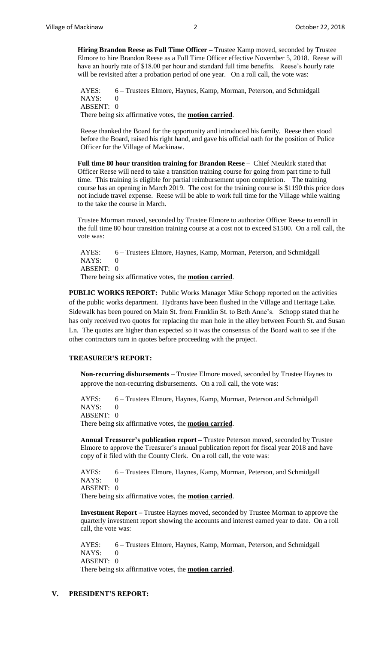**Hiring Brandon Reese as Full Time Officer –** Trustee Kamp moved, seconded by Trustee Elmore to hire Brandon Reese as a Full Time Officer effective November 5, 2018. Reese will have an hourly rate of \$18.00 per hour and standard full time benefits. Reese's hourly rate will be revisited after a probation period of one year. On a roll call, the vote was:

AYES: 6 – Trustees Elmore, Haynes, Kamp, Morman, Peterson, and Schmidgall NAYS: ABSENT: 0 There being six affirmative votes, the **motion carried**.

Reese thanked the Board for the opportunity and introduced his family. Reese then stood before the Board, raised his right hand, and gave his official oath for the position of Police Officer for the Village of Mackinaw.

**Full time 80 hour transition training for Brandon Reese –** Chief Nieukirk stated that Officer Reese will need to take a transition training course for going from part time to full time. This training is eligible for partial reimbursement upon completion. The training course has an opening in March 2019. The cost for the training course is \$1190 this price does not include travel expense. Reese will be able to work full time for the Village while waiting to the take the course in March.

Trustee Morman moved, seconded by Trustee Elmore to authorize Officer Reese to enroll in the full time 80 hour transition training course at a cost not to exceed \$1500. On a roll call, the vote was:

AYES: 6 – Trustees Elmore, Haynes, Kamp, Morman, Peterson, and Schmidgall NAYS: 0 ABSENT: 0 There being six affirmative votes, the **motion carried**.

**PUBLIC WORKS REPORT:** Public Works Manager Mike Schopp reported on the activities of the public works department. Hydrants have been flushed in the Village and Heritage Lake. Sidewalk has been poured on Main St. from Franklin St. to Beth Anne's. Schopp stated that he has only received two quotes for replacing the man hole in the alley between Fourth St. and Susan Ln. The quotes are higher than expected so it was the consensus of the Board wait to see if the other contractors turn in quotes before proceeding with the project.

#### **TREASURER'S REPORT:**

**Non-recurring disbursements –** Trustee Elmore moved, seconded by Trustee Haynes to approve the non-recurring disbursements. On a roll call, the vote was:

AYES: 6 – Trustees Elmore, Haynes, Kamp, Morman, Peterson and Schmidgall NAYS: 0 ABSENT: 0 There being six affirmative votes, the **motion carried**.

**Annual Treasurer's publication report –** Trustee Peterson moved, seconded by Trustee Elmore to approve the Treasurer's annual publication report for fiscal year 2018 and have copy of it filed with the County Clerk. On a roll call, the vote was:

AYES: 6 – Trustees Elmore, Haynes, Kamp, Morman, Peterson, and Schmidgall  $NAYS: 0$ ABSENT: 0 There being six affirmative votes, the **motion carried**.

**Investment Report –** Trustee Haynes moved, seconded by Trustee Morman to approve the quarterly investment report showing the accounts and interest earned year to date. On a roll call, the vote was:

AYES: 6 – Trustees Elmore, Haynes, Kamp, Morman, Peterson, and Schmidgall NAYS: 0 ABSENT: 0 There being six affirmative votes, the **motion carried**.